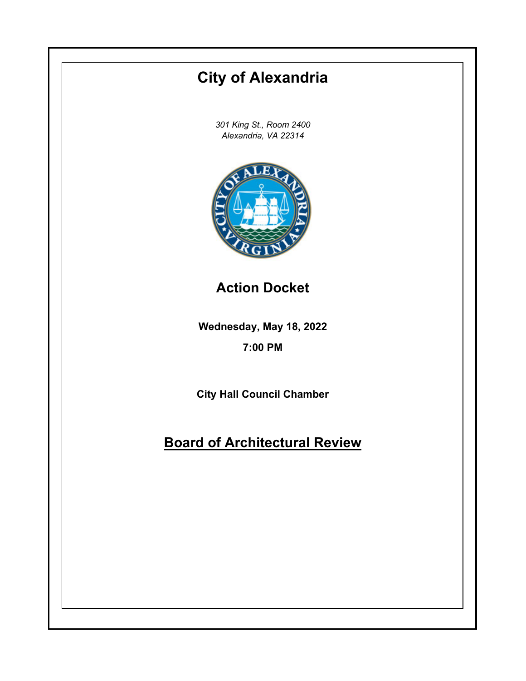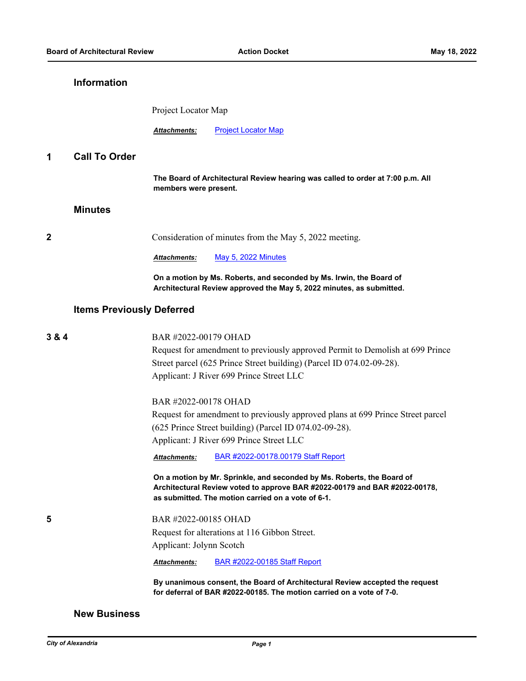# **Information**

Project Locator Map

Attachments: [Project Locator Map](http://alexandria.legistar.com/gateway.aspx?M=F&ID=84ac05be-1214-41f4-b3c6-bb20f1293acf.pdf)

## **1 Call To Order**

**The Board of Architectural Review hearing was called to order at 7:00 p.m. All members were present.**

#### **Minutes**

**2** Consideration of minutes from the May 5, 2022 meeting.

*Attachments:* [May 5, 2022 Minutes](http://alexandria.legistar.com/gateway.aspx?M=F&ID=f780c83d-ab3d-4534-be04-cf3f02df9985.pdf)

**On a motion by Ms. Roberts, and seconded by Ms. Irwin, the Board of Architectural Review approved the May 5, 2022 minutes, as submitted.**

#### **Items Previously Deferred**

| Request for amendment to previously approved Permit to Demolish at 699 Prince<br>Street parcel (625 Prince Street building) (Parcel ID 074.02-09-28).<br>Applicant: J River 699 Prince Street LLC          |
|------------------------------------------------------------------------------------------------------------------------------------------------------------------------------------------------------------|
|                                                                                                                                                                                                            |
|                                                                                                                                                                                                            |
|                                                                                                                                                                                                            |
| BAR #2022-00178 OHAD                                                                                                                                                                                       |
| Request for amendment to previously approved plans at 699 Prince Street parcel                                                                                                                             |
| $(625$ Prince Street building) (Parcel ID 074.02-09-28).                                                                                                                                                   |
| Applicant: J River 699 Prince Street LLC                                                                                                                                                                   |
| BAR #2022-00178.00179 Staff Report<br><b>Attachments:</b>                                                                                                                                                  |
| On a motion by Mr. Sprinkle, and seconded by Ms. Roberts, the Board of<br>Architectural Review voted to approve BAR #2022-00179 and BAR #2022-00178,<br>as submitted. The motion carried on a vote of 6-1. |
| BAR #2022-00185 OHAD                                                                                                                                                                                       |
| Request for alterations at 116 Gibbon Street.                                                                                                                                                              |
| Applicant: Jolynn Scotch                                                                                                                                                                                   |
| <b>BAR #2022-00185 Staff Report</b><br><b>Attachments:</b>                                                                                                                                                 |
| By unanimous consent, the Board of Architectural Review accepted the request<br>for deferral of BAR #2022-00185. The motion carried on a vote of 7-0.                                                      |
|                                                                                                                                                                                                            |

#### **New Business**